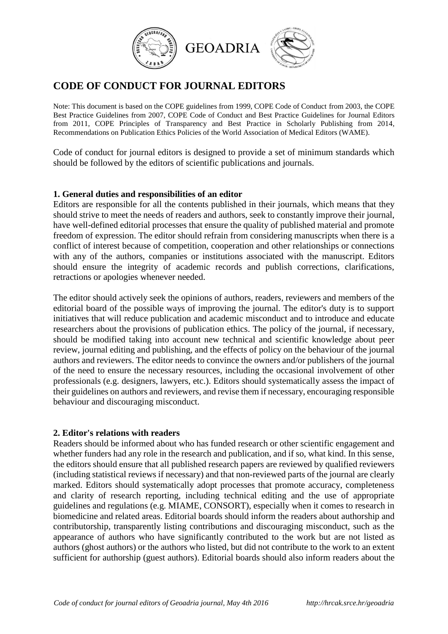

# **CODE OF CONDUCT FOR JOURNAL EDITORS**

Note: This document is based on the COPE guidelines from 1999, COPE Code of Conduct from 2003, the COPE Best Practice Guidelines from 2007, COPE Code of Conduct and Best Practice Guidelines for Journal Editors from 2011, COPE Principles of Transparency and Best Practice in Scholarly Publishing from 2014, Recommendations on Publication Ethics Policies of the World Association of Medical Editors (WAME).

Code of conduct for journal editors is designed to provide a set of minimum standards which should be followed by the editors of scientific publications and journals.

#### **1. General duties and responsibilities of an editor**

Editors are responsible for all the contents published in their journals, which means that they should strive to meet the needs of readers and authors, seek to constantly improve their journal, have well-defined editorial processes that ensure the quality of published material and promote freedom of expression. The editor should refrain from considering manuscripts when there is a conflict of interest because of competition, cooperation and other relationships or connections with any of the authors, companies or institutions associated with the manuscript. Editors should ensure the integrity of academic records and publish corrections, clarifications, retractions or apologies whenever needed.

The editor should actively seek the opinions of authors, readers, reviewers and members of the editorial board of the possible ways of improving the journal. The editor's duty is to support initiatives that will reduce publication and academic misconduct and to introduce and educate researchers about the provisions of publication ethics. The policy of the journal, if necessary, should be modified taking into account new technical and scientific knowledge about peer review, journal editing and publishing, and the effects of policy on the behaviour of the journal authors and reviewers. The editor needs to convince the owners and/or publishers of the journal of the need to ensure the necessary resources, including the occasional involvement of other professionals (e.g. designers, lawyers, etc.). Editors should systematically assess the impact of their guidelines on authors and reviewers, and revise them if necessary, encouraging responsible behaviour and discouraging misconduct.

#### **2. Editor's relations with readers**

Readers should be informed about who has funded research or other scientific engagement and whether funders had any role in the research and publication, and if so, what kind. In this sense, the editors should ensure that all published research papers are reviewed by qualified reviewers (including statistical reviews if necessary) and that non-reviewed parts of the journal are clearly marked. Editors should systematically adopt processes that promote accuracy, completeness and clarity of research reporting, including technical editing and the use of appropriate guidelines and regulations (e.g. MIAME, CONSORT), especially when it comes to research in biomedicine and related areas. Editorial boards should inform the readers about authorship and contributorship, transparently listing contributions and discouraging misconduct, such as the appearance of authors who have significantly contributed to the work but are not listed as authors (ghost authors) or the authors who listed, but did not contribute to the work to an extent sufficient for authorship (guest authors). Editorial boards should also inform readers about the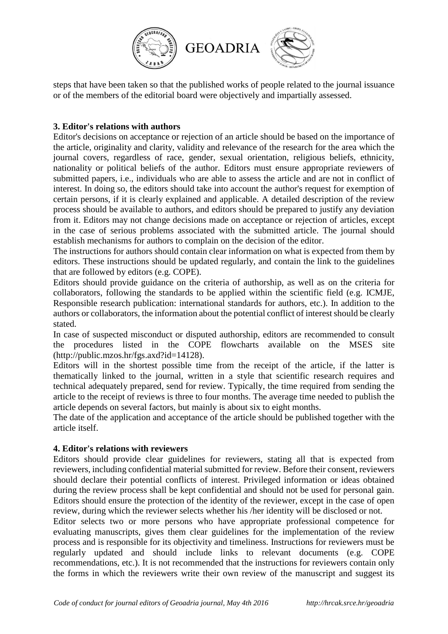

steps that have been taken so that the published works of people related to the journal issuance or of the members of the editorial board were objectively and impartially assessed.

## **3. Editor's relations with authors**

Editor's decisions on acceptance or rejection of an article should be based on the importance of the article, originality and clarity, validity and relevance of the research for the area which the journal covers, regardless of race, gender, sexual orientation, religious beliefs, ethnicity, nationality or political beliefs of the author. Editors must ensure appropriate reviewers of submitted papers, i.e., individuals who are able to assess the article and are not in conflict of interest. In doing so, the editors should take into account the author's request for exemption of certain persons, if it is clearly explained and applicable. A detailed description of the review process should be available to authors, and editors should be prepared to justify any deviation from it. Editors may not change decisions made on acceptance or rejection of articles, except in the case of serious problems associated with the submitted article. The journal should establish mechanisms for authors to complain on the decision of the editor.

The instructions for authors should contain clear information on what is expected from them by editors. These instructions should be updated regularly, and contain the link to the guidelines that are followed by editors (e.g. COPE).

Editors should provide guidance on the criteria of authorship, as well as on the criteria for collaborators, following the standards to be applied within the scientific field (e.g. ICMJE, Responsible research publication: international standards for authors, etc.). In addition to the authors or collaborators, the information about the potential conflict of interest should be clearly stated.

In case of suspected misconduct or disputed authorship, editors are recommended to consult the procedures listed in the COPE flowcharts available on the MSES site (http://public.mzos.hr/fgs.axd?id=14128).

Editors will in the shortest possible time from the receipt of the article, if the latter is thematically linked to the journal, written in a style that scientific research requires and technical adequately prepared, send for review. Typically, the time required from sending the article to the receipt of reviews is three to four months. The average time needed to publish the article depends on several factors, but mainly is about six to eight months.

The date of the application and acceptance of the article should be published together with the article itself.

## **4. Editor's relations with reviewers**

Editors should provide clear guidelines for reviewers, stating all that is expected from reviewers, including confidential material submitted for review. Before their consent, reviewers should declare their potential conflicts of interest. Privileged information or ideas obtained during the review process shall be kept confidential and should not be used for personal gain. Editors should ensure the protection of the identity of the reviewer, except in the case of open review, during which the reviewer selects whether his /her identity will be disclosed or not.

Editor selects two or more persons who have appropriate professional competence for evaluating manuscripts, gives them clear guidelines for the implementation of the review process and is responsible for its objectivity and timeliness. Instructions for reviewers must be regularly updated and should include links to relevant documents (e.g. COPE recommendations, etc.). It is not recommended that the instructions for reviewers contain only the forms in which the reviewers write their own review of the manuscript and suggest its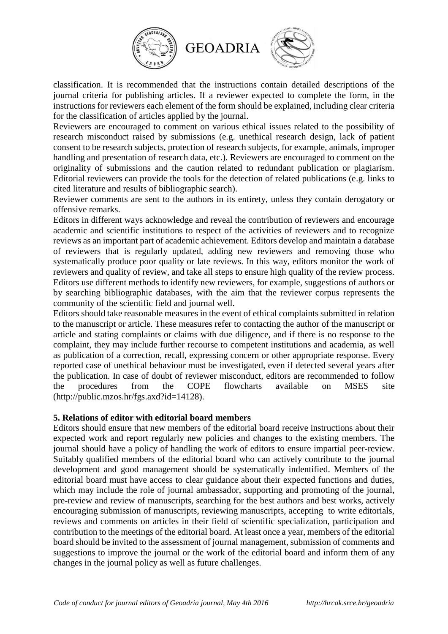

classification. It is recommended that the instructions contain detailed descriptions of the journal criteria for publishing articles. If a reviewer expected to complete the form, in the instructions for reviewers each element of the form should be explained, including clear criteria for the classification of articles applied by the journal.

Reviewers are encouraged to comment on various ethical issues related to the possibility of research misconduct raised by submissions (e.g. unethical research design, lack of patient consent to be research subjects, protection of research subjects, for example, animals, improper handling and presentation of research data, etc.). Reviewers are encouraged to comment on the originality of submissions and the caution related to redundant publication or plagiarism. Editorial reviewers can provide the tools for the detection of related publications (e.g. links to cited literature and results of bibliographic search).

Reviewer comments are sent to the authors in its entirety, unless they contain derogatory or offensive remarks.

Editors in different ways acknowledge and reveal the contribution of reviewers and encourage academic and scientific institutions to respect of the activities of reviewers and to recognize reviews as an important part of academic achievement. Editors develop and maintain a database of reviewers that is regularly updated, adding new reviewers and removing those who systematically produce poor quality or late reviews. In this way, editors monitor the work of reviewers and quality of review, and take all steps to ensure high quality of the review process. Editors use different methods to identify new reviewers, for example, suggestions of authors or by searching bibliographic databases, with the aim that the reviewer corpus represents the community of the scientific field and journal well.

Editors should take reasonable measures in the event of ethical complaints submitted in relation to the manuscript or article. These measures refer to contacting the author of the manuscript or article and stating complaints or claims with due diligence, and if there is no response to the complaint, they may include further recourse to competent institutions and academia, as well as publication of a correction, recall, expressing concern or other appropriate response. Every reported case of unethical behaviour must be investigated, even if detected several years after the publication. In case of doubt of reviewer misconduct, editors are recommended to follow the procedures from the COPE flowcharts available on MSES site (http://public.mzos.hr/fgs.axd?id=14128).

#### **5. Relations of editor with editorial board members**

Editors should ensure that new members of the editorial board receive instructions about their expected work and report regularly new policies and changes to the existing members. The journal should have a policy of handling the work of editors to ensure impartial peer-review. Suitably qualified members of the editorial board who can actively contribute to the journal development and good management should be systematically indentified. Members of the editorial board must have access to clear guidance about their expected functions and duties, which may include the role of journal ambassador, supporting and promoting of the journal, pre-review and review of manuscripts, searching for the best authors and best works, actively encouraging submission of manuscripts, reviewing manuscripts, accepting to write editorials, reviews and comments on articles in their field of scientific specialization, participation and contribution to the meetings of the editorial board. At least once a year, members of the editorial board should be invited to the assessment of journal management, submission of comments and suggestions to improve the journal or the work of the editorial board and inform them of any changes in the journal policy as well as future challenges.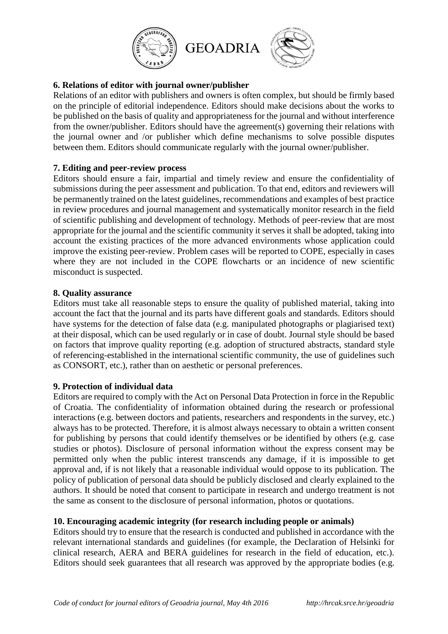

## **6. Relations of editor with journal owner/publisher**

Relations of an editor with publishers and owners is often complex, but should be firmly based on the principle of editorial independence. Editors should make decisions about the works to be published on the basis of quality and appropriateness for the journal and without interference from the owner/publisher. Editors should have the agreement(s) governing their relations with the journal owner and /or publisher which define mechanisms to solve possible disputes between them. Editors should communicate regularly with the journal owner/publisher.

## **7. Editing and peer-review process**

Editors should ensure a fair, impartial and timely review and ensure the confidentiality of submissions during the peer assessment and publication. To that end, editors and reviewers will be permanently trained on the latest guidelines, recommendations and examples of best practice in review procedures and journal management and systematically monitor research in the field of scientific publishing and development of technology. Methods of peer-review that are most appropriate for the journal and the scientific community it serves it shall be adopted, taking into account the existing practices of the more advanced environments whose application could improve the existing peer-review. Problem cases will be reported to COPE, especially in cases where they are not included in the COPE flowcharts or an incidence of new scientific misconduct is suspected.

## **8. Quality assurance**

Editors must take all reasonable steps to ensure the quality of published material, taking into account the fact that the journal and its parts have different goals and standards. Editors should have systems for the detection of false data (e.g. manipulated photographs or plagiarised text) at their disposal, which can be used regularly or in case of doubt. Journal style should be based on factors that improve quality reporting (e.g. adoption of structured abstracts, standard style of referencing-established in the international scientific community, the use of guidelines such as CONSORT, etc.), rather than on aesthetic or personal preferences.

## **9. Protection of individual data**

Editors are required to comply with the Act on Personal Data Protection in force in the Republic of Croatia. The confidentiality of information obtained during the research or professional interactions (e.g. between doctors and patients, researchers and respondents in the survey, etc.) always has to be protected. Therefore, it is almost always necessary to obtain a written consent for publishing by persons that could identify themselves or be identified by others (e.g. case studies or photos). Disclosure of personal information without the express consent may be permitted only when the public interest transcends any damage, if it is impossible to get approval and, if is not likely that a reasonable individual would oppose to its publication. The policy of publication of personal data should be publicly disclosed and clearly explained to the authors. It should be noted that consent to participate in research and undergo treatment is not the same as consent to the disclosure of personal information, photos or quotations.

## **10. Encouraging academic integrity (for research including people or animals)**

Editors should try to ensure that the research is conducted and published in accordance with the relevant international standards and guidelines (for example, the Declaration of Helsinki for clinical research, AERA and BERA guidelines for research in the field of education, etc.). Editors should seek guarantees that all research was approved by the appropriate bodies (e.g.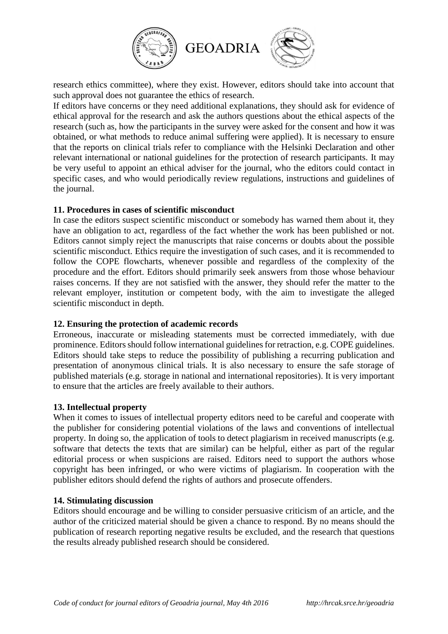

research ethics committee), where they exist. However, editors should take into account that such approval does not guarantee the ethics of research.

If editors have concerns or they need additional explanations, they should ask for evidence of ethical approval for the research and ask the authors questions about the ethical aspects of the research (such as, how the participants in the survey were asked for the consent and how it was obtained, or what methods to reduce animal suffering were applied). It is necessary to ensure that the reports on clinical trials refer to compliance with the Helsinki Declaration and other relevant international or national guidelines for the protection of research participants. It may be very useful to appoint an ethical adviser for the journal, who the editors could contact in specific cases, and who would periodically review regulations, instructions and guidelines of the journal.

#### **11. Procedures in cases of scientific misconduct**

In case the editors suspect scientific misconduct or somebody has warned them about it, they have an obligation to act, regardless of the fact whether the work has been published or not. Editors cannot simply reject the manuscripts that raise concerns or doubts about the possible scientific misconduct. Ethics require the investigation of such cases, and it is recommended to follow the COPE flowcharts, whenever possible and regardless of the complexity of the procedure and the effort. Editors should primarily seek answers from those whose behaviour raises concerns. If they are not satisfied with the answer, they should refer the matter to the relevant employer, institution or competent body, with the aim to investigate the alleged scientific misconduct in depth.

## **12. Ensuring the protection of academic records**

Erroneous, inaccurate or misleading statements must be corrected immediately, with due prominence. Editors should follow international guidelines for retraction, e.g. COPE guidelines. Editors should take steps to reduce the possibility of publishing a recurring publication and presentation of anonymous clinical trials. It is also necessary to ensure the safe storage of published materials (e.g. storage in national and international repositories). It is very important to ensure that the articles are freely available to their authors.

## **13. Intellectual property**

When it comes to issues of intellectual property editors need to be careful and cooperate with the publisher for considering potential violations of the laws and conventions of intellectual property. In doing so, the application of tools to detect plagiarism in received manuscripts (e.g. software that detects the texts that are similar) can be helpful, either as part of the regular editorial process or when suspicions are raised. Editors need to support the authors whose copyright has been infringed, or who were victims of plagiarism. In cooperation with the publisher editors should defend the rights of authors and prosecute offenders.

#### **14. Stimulating discussion**

Editors should encourage and be willing to consider persuasive criticism of an article, and the author of the criticized material should be given a chance to respond. By no means should the publication of research reporting negative results be excluded, and the research that questions the results already published research should be considered.